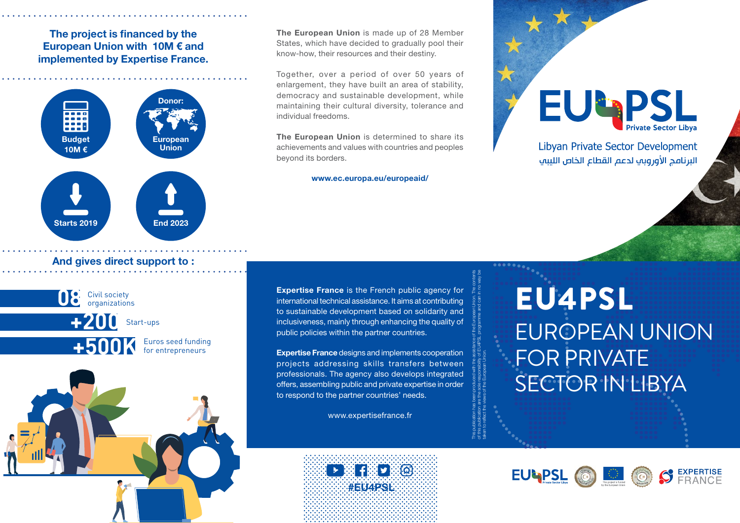## The project is financed by the European Union with 10M € and implemented by Expertise France.



## And gives direct support to :





Together, over a period of over 50 years of enlargement, they have built an area of stability, democracy and sustainable development, while maintaining their cultural diversity, tolerance and individual freedoms.

The European Union is determined to share its achievements and values with countries and peoples beyond its borders.

#### www.ec.europa.eu/europeaid/

**EU-PSL** 

Libvan Private Sector Development البرنافج الأوروبي لدعم القطاع الخاص اللبيف

Expertise France is the French public agency for international technical assistance. It aims at contributing to sustainable development based on solidarity and inclusiveness, mainly through enhancing the quality of public policies within the partner countries.

Expertise France designs and implements cooperation projects addressing skills transfers between professionals. The agency also develops integrated offers, assembling public and private expertise in order to respond to the partner countries' needs.

This publication has been produced with the assistance of the European Union. The contents of this publication are the sole responsibility of EU4PSL programme and can in no way be

taken to reflect the views of the European Union.

www.expertisefrance.fr



 ............................... ................................ ............................... ................................ ............................... ................................ ............................... ................................ ............................... ................................ ............................... ................................

# EU4PSL EUROPEAN UNION FOR PRIVATE SECTOR IN LIBYA